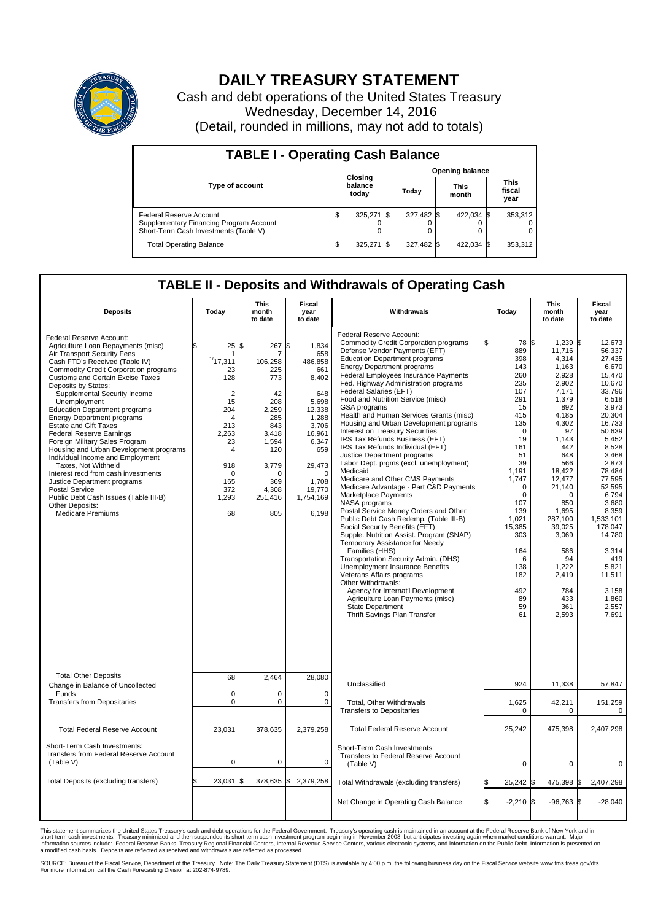

## **DAILY TREASURY STATEMENT**

Cash and debt operations of the United States Treasury Wednesday, December 14, 2016 (Detail, rounded in millions, may not add to totals)

| <b>TABLE I - Operating Cash Balance</b>                                                                     |                             |            |       |                        |                      |            |                               |         |  |  |  |
|-------------------------------------------------------------------------------------------------------------|-----------------------------|------------|-------|------------------------|----------------------|------------|-------------------------------|---------|--|--|--|
|                                                                                                             |                             |            |       | <b>Opening balance</b> |                      |            |                               |         |  |  |  |
| <b>Type of account</b>                                                                                      | Closing<br>balance<br>today |            | Today |                        | <b>This</b><br>month |            | <b>This</b><br>fiscal<br>year |         |  |  |  |
| Federal Reserve Account<br>Supplementary Financing Program Account<br>Short-Term Cash Investments (Table V) |                             | 325,271 \$ |       | 327,482 \$             |                      | 422.034 \$ |                               | 353,312 |  |  |  |
| <b>Total Operating Balance</b>                                                                              | ıъ                          | 325,271 \$ |       | 327,482 \$             |                      | 422,034 \$ |                               | 353,312 |  |  |  |

## **TABLE II - Deposits and Withdrawals of Operating Cash**

| <b>Deposits</b>                                                                                                                                                                                                                                                                                                                                                                                                                                                                                                                                                                                                                                                                                                                                                                 | Today                                                                                                                                                              | This<br>month<br>to date                                                                                                                                    | Fiscal<br>year<br>to date                                                                                                                                                           | Withdrawals                                                                                                                                                                                                                                                                                                                                                                                                                                                                                                                                                                                                                                                                                                                                                                                                                                                                                                                                                                                                                                                                                                                                                                                                                                                  | Today                                                                                                                                                                                                                                                         | <b>This</b><br>month<br>to date                                                                                                                                                                                                                                                              | Fiscal<br>year<br>to date                                                                                                                                                                                                                                                                                               |
|---------------------------------------------------------------------------------------------------------------------------------------------------------------------------------------------------------------------------------------------------------------------------------------------------------------------------------------------------------------------------------------------------------------------------------------------------------------------------------------------------------------------------------------------------------------------------------------------------------------------------------------------------------------------------------------------------------------------------------------------------------------------------------|--------------------------------------------------------------------------------------------------------------------------------------------------------------------|-------------------------------------------------------------------------------------------------------------------------------------------------------------|-------------------------------------------------------------------------------------------------------------------------------------------------------------------------------------|--------------------------------------------------------------------------------------------------------------------------------------------------------------------------------------------------------------------------------------------------------------------------------------------------------------------------------------------------------------------------------------------------------------------------------------------------------------------------------------------------------------------------------------------------------------------------------------------------------------------------------------------------------------------------------------------------------------------------------------------------------------------------------------------------------------------------------------------------------------------------------------------------------------------------------------------------------------------------------------------------------------------------------------------------------------------------------------------------------------------------------------------------------------------------------------------------------------------------------------------------------------|---------------------------------------------------------------------------------------------------------------------------------------------------------------------------------------------------------------------------------------------------------------|----------------------------------------------------------------------------------------------------------------------------------------------------------------------------------------------------------------------------------------------------------------------------------------------|-------------------------------------------------------------------------------------------------------------------------------------------------------------------------------------------------------------------------------------------------------------------------------------------------------------------------|
| Federal Reserve Account:<br>Agriculture Loan Repayments (misc)<br>Air Transport Security Fees<br>Cash FTD's Received (Table IV)<br><b>Commodity Credit Corporation programs</b><br><b>Customs and Certain Excise Taxes</b><br>Deposits by States:<br>Supplemental Security Income<br>Unemployment<br><b>Education Department programs</b><br><b>Energy Department programs</b><br><b>Estate and Gift Taxes</b><br><b>Federal Reserve Earnings</b><br>Foreign Military Sales Program<br>Housing and Urban Development programs<br>Individual Income and Employment<br>Taxes, Not Withheld<br>Interest recd from cash investments<br>Justice Department programs<br><b>Postal Service</b><br>Public Debt Cash Issues (Table III-B)<br>Other Deposits:<br><b>Medicare Premiums</b> | \$<br>25<br>1<br>1/17,311<br>23<br>128<br>$\overline{2}$<br>15<br>204<br>$\overline{4}$<br>213<br>2,263<br>23<br>4<br>918<br>$\Omega$<br>165<br>372<br>1,293<br>68 | \$<br>267<br>7<br>106,258<br>225<br>773<br>42<br>208<br>2,259<br>285<br>843<br>3,418<br>1,594<br>120<br>3,779<br>$\Omega$<br>369<br>4,308<br>251,416<br>805 | l\$<br>1,834<br>658<br>486,858<br>661<br>8,402<br>648<br>5,698<br>12,338<br>1,288<br>3.706<br>16,961<br>6,347<br>659<br>29,473<br>$\Omega$<br>1,708<br>19,770<br>1,754,169<br>6,198 | Federal Reserve Account:<br><b>Commodity Credit Corporation programs</b><br>Defense Vendor Payments (EFT)<br><b>Education Department programs</b><br><b>Energy Department programs</b><br><b>Federal Employees Insurance Payments</b><br>Fed. Highway Administration programs<br>Federal Salaries (EFT)<br>Food and Nutrition Service (misc)<br>GSA programs<br>Health and Human Services Grants (misc)<br>Housing and Urban Development programs<br>Interest on Treasury Securities<br>IRS Tax Refunds Business (EFT)<br>IRS Tax Refunds Individual (EFT)<br>Justice Department programs<br>Labor Dept. prgms (excl. unemployment)<br>Medicaid<br>Medicare and Other CMS Payments<br>Medicare Advantage - Part C&D Payments<br>Marketplace Payments<br>NASA programs<br>Postal Service Money Orders and Other<br>Public Debt Cash Redemp. (Table III-B)<br>Social Security Benefits (EFT)<br>Supple. Nutrition Assist. Program (SNAP)<br>Temporary Assistance for Needy<br>Families (HHS)<br>Transportation Security Admin. (DHS)<br>Unemployment Insurance Benefits<br>Veterans Affairs programs<br>Other Withdrawals:<br>Agency for Internat'l Development<br>Agriculture Loan Payments (misc)<br><b>State Department</b><br>Thrift Savings Plan Transfer | 78 \$<br>889<br>398<br>143<br>260<br>235<br>107<br>291<br>15<br>415<br>135<br>$\mathbf 0$<br>19<br>161<br>51<br>39<br>1,191<br>1,747<br>$\mathbf 0$<br>$\mathbf 0$<br>107<br>139<br>1,021<br>15,385<br>303<br>164<br>6<br>138<br>182<br>492<br>89<br>59<br>61 | $1.239$ \$<br>11,716<br>4,314<br>1,163<br>2.928<br>2,902<br>7,171<br>1,379<br>892<br>4,185<br>4,302<br>97<br>1,143<br>442<br>648<br>566<br>18,422<br>12,477<br>21,140<br>$\Omega$<br>850<br>1,695<br>287,100<br>39,025<br>3,069<br>586<br>94<br>1,222<br>2,419<br>784<br>433<br>361<br>2,593 | 12.673<br>56,337<br>27,435<br>6,670<br>15.470<br>10,670<br>33.796<br>6,518<br>3,973<br>20,304<br>16,733<br>50.639<br>5,452<br>8,528<br>3,468<br>2,873<br>78,484<br>77,595<br>52.595<br>6,794<br>3.680<br>8,359<br>1,533,101<br>178,047<br>14,780<br>3,314<br>419<br>5,821<br>11,511<br>3.158<br>1.860<br>2,557<br>7,691 |
| <b>Total Other Deposits</b><br>Change in Balance of Uncollected                                                                                                                                                                                                                                                                                                                                                                                                                                                                                                                                                                                                                                                                                                                 | 68                                                                                                                                                                 | 2,464                                                                                                                                                       | 28,080                                                                                                                                                                              | Unclassified                                                                                                                                                                                                                                                                                                                                                                                                                                                                                                                                                                                                                                                                                                                                                                                                                                                                                                                                                                                                                                                                                                                                                                                                                                                 | 924                                                                                                                                                                                                                                                           | 11,338                                                                                                                                                                                                                                                                                       | 57,847                                                                                                                                                                                                                                                                                                                  |
| Funds<br><b>Transfers from Depositaries</b>                                                                                                                                                                                                                                                                                                                                                                                                                                                                                                                                                                                                                                                                                                                                     | $\mathbf 0$<br>$\mathbf 0$                                                                                                                                         | 0<br>0                                                                                                                                                      | $\mathbf 0$<br>$\Omega$                                                                                                                                                             | Total, Other Withdrawals<br><b>Transfers to Depositaries</b>                                                                                                                                                                                                                                                                                                                                                                                                                                                                                                                                                                                                                                                                                                                                                                                                                                                                                                                                                                                                                                                                                                                                                                                                 | 1,625<br>$\Omega$                                                                                                                                                                                                                                             | 42,211<br>0                                                                                                                                                                                                                                                                                  | 151,259<br>0                                                                                                                                                                                                                                                                                                            |
| <b>Total Federal Reserve Account</b>                                                                                                                                                                                                                                                                                                                                                                                                                                                                                                                                                                                                                                                                                                                                            | 23.031                                                                                                                                                             | 378.635                                                                                                                                                     | 2,379,258                                                                                                                                                                           | <b>Total Federal Reserve Account</b>                                                                                                                                                                                                                                                                                                                                                                                                                                                                                                                                                                                                                                                                                                                                                                                                                                                                                                                                                                                                                                                                                                                                                                                                                         | 25,242                                                                                                                                                                                                                                                        | 475.398                                                                                                                                                                                                                                                                                      | 2,407,298                                                                                                                                                                                                                                                                                                               |
| Short-Term Cash Investments:<br><b>Transfers from Federal Reserve Account</b><br>(Table V)                                                                                                                                                                                                                                                                                                                                                                                                                                                                                                                                                                                                                                                                                      | $\mathbf 0$                                                                                                                                                        | 0                                                                                                                                                           | $\mathbf 0$                                                                                                                                                                         | Short-Term Cash Investments:<br>Transfers to Federal Reserve Account<br>(Table V)                                                                                                                                                                                                                                                                                                                                                                                                                                                                                                                                                                                                                                                                                                                                                                                                                                                                                                                                                                                                                                                                                                                                                                            | 0                                                                                                                                                                                                                                                             | $\mathbf 0$                                                                                                                                                                                                                                                                                  | 0                                                                                                                                                                                                                                                                                                                       |
| Total Deposits (excluding transfers)                                                                                                                                                                                                                                                                                                                                                                                                                                                                                                                                                                                                                                                                                                                                            | 23,031<br>\$                                                                                                                                                       | 378,635 \$<br>\$                                                                                                                                            | 2,379,258                                                                                                                                                                           | Total Withdrawals (excluding transfers)                                                                                                                                                                                                                                                                                                                                                                                                                                                                                                                                                                                                                                                                                                                                                                                                                                                                                                                                                                                                                                                                                                                                                                                                                      | 25,242                                                                                                                                                                                                                                                        | 475,398 \$<br>l\$                                                                                                                                                                                                                                                                            | 2,407,298                                                                                                                                                                                                                                                                                                               |
|                                                                                                                                                                                                                                                                                                                                                                                                                                                                                                                                                                                                                                                                                                                                                                                 |                                                                                                                                                                    |                                                                                                                                                             |                                                                                                                                                                                     | Net Change in Operating Cash Balance                                                                                                                                                                                                                                                                                                                                                                                                                                                                                                                                                                                                                                                                                                                                                                                                                                                                                                                                                                                                                                                                                                                                                                                                                         | \$<br>$-2,210$ \$                                                                                                                                                                                                                                             | $-96,763$ \$                                                                                                                                                                                                                                                                                 | $-28,040$                                                                                                                                                                                                                                                                                                               |

This statement summarizes the United States Treasury's cash and debt operations for the Federal Government. Treasury's operating cash is maintained in an account at the Federal Reserve Bank of New York and in<br>short-term ca

SOURCE: Bureau of the Fiscal Service, Department of the Treasury. Note: The Daily Treasury Statement (DTS) is available by 4:00 p.m. the following business day on the Fiscal Service website www.fms.treas.gov/dts.<br>For more